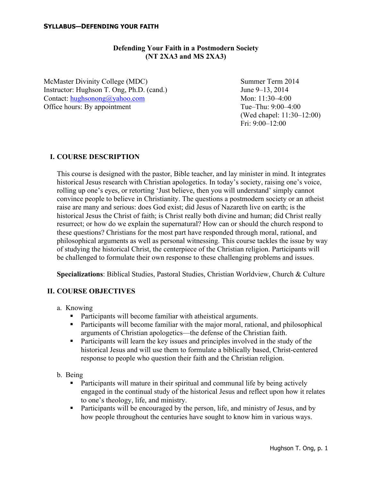## **Defending Your Faith in a Postmodern Society (NT 2XA3 and MS 2XA3)**

McMaster Divinity College (MDC) Summer Term 2014 Instructor: Hughson T. Ong, Ph.D. (cand.) June 9–13, 2014 Contact: hughsonong@yahoo.com Mon: 11:30–4:00 Office hours: By appointment Tue–Thu: 9:00–4:00

(Wed chapel: 11:30–12:00) Fri: 9:00–12:00

## **I. COURSE DESCRIPTION**

This course is designed with the pastor, Bible teacher, and lay minister in mind. It integrates historical Jesus research with Christian apologetics. In today's society, raising one's voice, rolling up one's eyes, or retorting 'Just believe, then you will understand' simply cannot convince people to believe in Christianity. The questions a postmodern society or an atheist raise are many and serious: does God exist; did Jesus of Nazareth live on earth; is the historical Jesus the Christ of faith; is Christ really both divine and human; did Christ really resurrect; or how do we explain the supernatural? How can or should the church respond to these questions? Christians for the most part have responded through moral, rational, and philosophical arguments as well as personal witnessing. This course tackles the issue by way of studying the historical Christ, the centerpiece of the Christian religion. Participants will be challenged to formulate their own response to these challenging problems and issues.

**Specializations**: Biblical Studies, Pastoral Studies, Christian Worldview, Church & Culture

#### **II. COURSE OBJECTIVES**

- a. Knowing
	- Participants will become familiar with atheistical arguments.
	- Participants will become familiar with the major moral, rational, and philosophical arguments of Christian apologetics—the defense of the Christian faith.
	- Participants will learn the key issues and principles involved in the study of the historical Jesus and will use them to formulate a biblically based, Christ-centered response to people who question their faith and the Christian religion.
- b. Being
	- Participants will mature in their spiritual and communal life by being actively engaged in the continual study of the historical Jesus and reflect upon how it relates to one's theology, life, and ministry.
	- Participants will be encouraged by the person, life, and ministry of Jesus, and by how people throughout the centuries have sought to know him in various ways.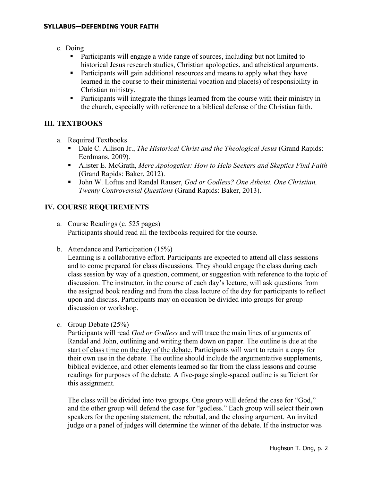- c. Doing
	- Participants will engage a wide range of sources, including but not limited to historical Jesus research studies, Christian apologetics, and atheistical arguments.
	- Participants will gain additional resources and means to apply what they have learned in the course to their ministerial vocation and place(s) of responsibility in Christian ministry.
	- Participants will integrate the things learned from the course with their ministry in the church, especially with reference to a biblical defense of the Christian faith.

# **III. TEXTBOOKS**

- a. Required Textbooks
	- Dale C. Allison Jr., *The Historical Christ and the Theological Jesus* (Grand Rapids: Eerdmans, 2009).
	- § Alister E. McGrath, *Mere Apologetics: How to Help Seekers and Skeptics Find Faith* (Grand Rapids: Baker, 2012).
	- John W. Loftus and Randal Rauser, *God or Godless? One Atheist, One Christian*, *Twenty Controversial Questions* (Grand Rapids: Baker, 2013).

# **IV. COURSE REQUIREMENTS**

- a. Course Readings (c. 525 pages) Participants should read all the textbooks required for the course.
- b. Attendance and Participation (15%)

Learning is a collaborative effort. Participants are expected to attend all class sessions and to come prepared for class discussions. They should engage the class during each class session by way of a question, comment, or suggestion with reference to the topic of discussion. The instructor, in the course of each day's lecture, will ask questions from the assigned book reading and from the class lecture of the day for participants to reflect upon and discuss. Participants may on occasion be divided into groups for group discussion or workshop.

c. Group Debate (25%)

Participants will read *God or Godless* and will trace the main lines of arguments of Randal and John, outlining and writing them down on paper. The outline is due at the start of class time on the day of the debate. Participants will want to retain a copy for their own use in the debate. The outline should include the argumentative supplements, biblical evidence, and other elements learned so far from the class lessons and course readings for purposes of the debate. A five-page single-spaced outline is sufficient for this assignment.

The class will be divided into two groups. One group will defend the case for "God," and the other group will defend the case for "godless." Each group will select their own speakers for the opening statement, the rebuttal, and the closing argument. An invited judge or a panel of judges will determine the winner of the debate. If the instructor was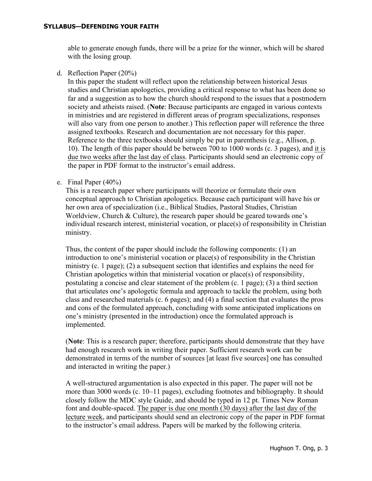able to generate enough funds, there will be a prize for the winner, which will be shared with the losing group.

d. Reflection Paper (20%)

In this paper the student will reflect upon the relationship between historical Jesus studies and Christian apologetics, providing a critical response to what has been done so far and a suggestion as to how the church should respond to the issues that a postmodern society and atheists raised. (**Note**: Because participants are engaged in various contexts in ministries and are registered in different areas of program specializations, responses will also vary from one person to another.) This reflection paper will reference the three assigned textbooks. Research and documentation are not necessary for this paper. Reference to the three textbooks should simply be put in parenthesis (e.g., Allison, p. 10). The length of this paper should be between 700 to 1000 words (c. 3 pages), and it is due two weeks after the last day of class. Participants should send an electronic copy of the paper in PDF format to the instructor's email address.

e. Final Paper (40%)

This is a research paper where participants will theorize or formulate their own conceptual approach to Christian apologetics. Because each participant will have his or her own area of specialization (i.e., Biblical Studies, Pastoral Studies, Christian Worldview, Church & Culture), the research paper should be geared towards one's individual research interest, ministerial vocation, or place(s) of responsibility in Christian ministry.

Thus, the content of the paper should include the following components: (1) an introduction to one's ministerial vocation or place(s) of responsibility in the Christian ministry (c. 1 page); (2) a subsequent section that identifies and explains the need for Christian apologetics within that ministerial vocation or place(s) of responsibility, postulating a concise and clear statement of the problem (c. 1 page); (3) a third section that articulates one's apologetic formula and approach to tackle the problem, using both class and researched materials (c. 6 pages); and (4) a final section that evaluates the pros and cons of the formulated approach, concluding with some anticipated implications on one's ministry (presented in the introduction) once the formulated approach is implemented.

(**Note**: This is a research paper; therefore, participants should demonstrate that they have had enough research work in writing their paper. Sufficient research work can be demonstrated in terms of the number of sources [at least five sources] one has consulted and interacted in writing the paper.)

A well-structured argumentation is also expected in this paper. The paper will not be more than 3000 words (c. 10–11 pages), excluding footnotes and bibliography. It should closely follow the MDC style Guide, and should be typed in 12 pt. Times New Roman font and double-spaced. The paper is due one month (30 days) after the last day of the lecture week, and participants should send an electronic copy of the paper in PDF format to the instructor's email address. Papers will be marked by the following criteria.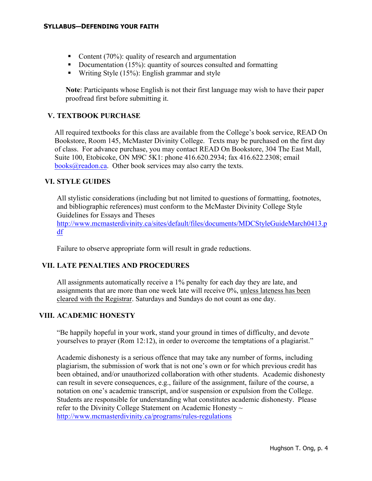- Content (70%): quality of research and argumentation
- Documentation  $(15\%)$ : quantity of sources consulted and formatting
- Writing Style (15%): English grammar and style

**Note**: Participants whose English is not their first language may wish to have their paper proofread first before submitting it.

# **V. TEXTBOOK PURCHASE**

All required textbooks for this class are available from the College's book service, READ On Bookstore, Room 145, McMaster Divinity College. Texts may be purchased on the first day of class. For advance purchase, you may contact READ On Bookstore, 304 The East Mall, Suite 100, Etobicoke, ON M9C 5K1: phone 416.620.2934; fax 416.622.2308; email  $books@readon.ca.$  Other book services may also carry the texts.

## **VI. STYLE GUIDES**

All stylistic considerations (including but not limited to questions of formatting, footnotes, and bibliographic references) must conform to the McMaster Divinity College Style Guidelines for Essays and Theses

http://www.mcmasterdivinity.ca/sites/default/files/documents/MDCStyleGuideMarch0413.p df

Failure to observe appropriate form will result in grade reductions.

## **VII. LATE PENALTIES AND PROCEDURES**

All assignments automatically receive a 1% penalty for each day they are late, and assignments that are more than one week late will receive 0%, unless lateness has been cleared with the Registrar. Saturdays and Sundays do not count as one day.

## **VIII. ACADEMIC HONESTY**

"Be happily hopeful in your work, stand your ground in times of difficulty, and devote yourselves to prayer (Rom 12:12), in order to overcome the temptations of a plagiarist."

Academic dishonesty is a serious offence that may take any number of forms, including plagiarism, the submission of work that is not one's own or for which previous credit has been obtained, and/or unauthorized collaboration with other students. Academic dishonesty can result in severe consequences, e.g., failure of the assignment, failure of the course, a notation on one's academic transcript, and/or suspension or expulsion from the College. Students are responsible for understanding what constitutes academic dishonesty. Please refer to the Divinity College Statement on Academic Honesty  $\sim$ http://www.mcmasterdivinity.ca/programs/rules-regulations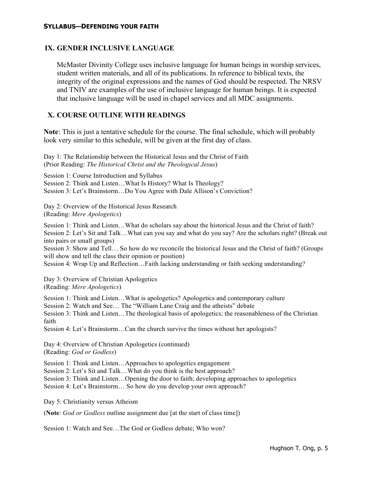### **IX. GENDER INCLUSIVE LANGUAGE**

McMaster Divinity College uses inclusive language for human beings in worship services, student written materials, and all of its publications. In reference to biblical texts, the integrity of the original expressions and the names of God should be respected. The NRSV and TNIV are examples of the use of inclusive language for human beings. It is expected that inclusive language will be used in chapel services and all MDC assignments.

## **X. COURSE OUTLINE WITH READINGS**

**Note**: This is just a tentative schedule for the course. The final schedule, which will probably look very similar to this schedule, will be given at the first day of class.

Day 1: The Relationship between the Historical Jesus and the Christ of Faith (Prior Reading: *The Historical Christ and the Theological Jesus*)

Session 1: Course Introduction and Syllabus Session 2: Think and Listen…What Is History? What Is Theology? Session 3: Let's Brainstorm…Do You Agree with Dale Allison's Conviction?

Day 2: Overview of the Historical Jesus Research (Reading: *Mere Apologetics*)

Session 1: Think and Listen…What do scholars say about the historical Jesus and the Christ of faith? Session 2: Let's Sit and Talk…What can you say and what do you say? Are the scholars right? (Break out into pairs or small groups)

Session 3: Show and Tell… So how do we reconcile the historical Jesus and the Christ of faith? (Groups will show and tell the class their opinion or position)

Session 4: Wrap Up and Reflection…Faith lacking understanding or faith seeking understanding?

Day 3: Overview of Christian Apologetics (Reading: *Mere Apologetics*)

Session 1: Think and Listen…What is apologetics? Apologetics and contemporary culture Session 2: Watch and See… The "William Lane Craig and the atheists" debate Session 3: Think and Listen…The theological basis of apologetics; the reasonableness of the Christian faith

Session 4: Let's Brainstorm…Can the church survive the times without her apologists?

Day 4: Overview of Christian Apologetics (continued) (Reading: *God or Godless*)

Session 1: Think and Listen…Approaches to apologetics engagement

Session 2: Let's Sit and Talk…What do you think is the best approach?

Session 3: Think and Listen…Opening the door to faith; developing approaches to apologetics

Session 4: Let's Brainstorm… So how do you develop your own approach?

Day 5: Christianity versus Atheism

(**Note**: *God or Godless* outline assignment due [at the start of class time])

Session 1: Watch and See…The God or Godless debate; Who won?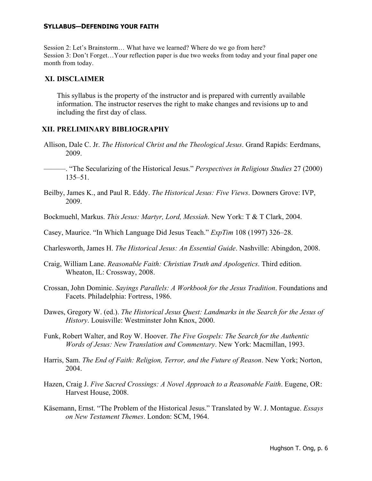Session 2: Let's Brainstorm… What have we learned? Where do we go from here? Session 3: Don't Forget…Your reflection paper is due two weeks from today and your final paper one month from today.

#### **XI. DISCLAIMER**

This syllabus is the property of the instructor and is prepared with currently available information. The instructor reserves the right to make changes and revisions up to and including the first day of class.

## **XII. PRELIMINARY BIBLIOGRAPHY**

- Allison, Dale C. Jr. *The Historical Christ and the Theological Jesus*. Grand Rapids: Eerdmans, 2009.
- ———. "The Secularizing of the Historical Jesus." *Perspectives in Religious Studies* 27 (2000) 135–51.
- Beilby, James K., and Paul R. Eddy. *The Historical Jesus: Five Views*. Downers Grove: IVP, 2009.
- Bockmuehl, Markus. *This Jesus: Martyr, Lord, Messiah*. New York: T & T Clark, 2004.
- Casey, Maurice. "In Which Language Did Jesus Teach." *ExpTim* 108 (1997) 326–28.
- Charlesworth, James H. *The Historical Jesus: An Essential Guide*. Nashville: Abingdon, 2008.
- Craig, William Lane. *Reasonable Faith: Christian Truth and Apologetics*. Third edition. Wheaton, IL: Crossway, 2008.
- Crossan, John Dominic. *Sayings Parallels: A Workbook for the Jesus Tradition*. Foundations and Facets. Philadelphia: Fortress, 1986.
- Dawes, Gregory W. (ed.). *The Historical Jesus Quest: Landmarks in the Search for the Jesus of History*. Louisville: Westminster John Knox, 2000.
- Funk, Robert Walter, and Roy W. Hoover. *The Five Gospels: The Search for the Authentic Words of Jesus: New Translation and Commentary*. New York: Macmillan, 1993.
- Harris, Sam. *The End of Faith: Religion, Terror, and the Future of Reason*. New York; Norton, 2004.
- Hazen, Craig J. *Five Sacred Crossings: A Novel Approach to a Reasonable Faith*. Eugene, OR: Harvest House, 2008.
- Käsemann, Ernst. "The Problem of the Historical Jesus." Translated by W. J. Montague. *Essays on New Testament Themes*. London: SCM, 1964.